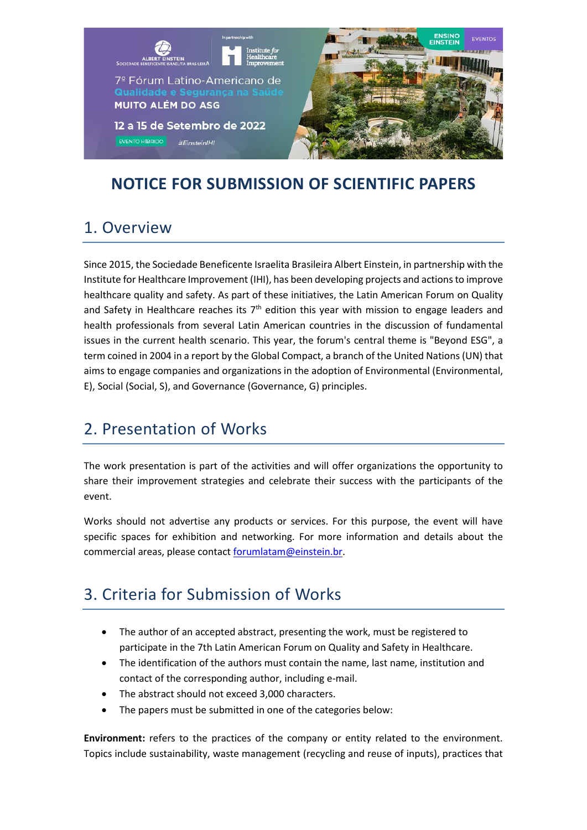

### **NOTICE FOR SUBMISSION OF SCIENTIFIC PAPERS**

### 1. Overview

Since 2015, the Sociedade Beneficente Israelita Brasileira Albert Einstein, in partnership with the Institute for Healthcare Improvement (IHI), has been developing projects and actions to improve healthcare quality and safety. As part of these initiatives, the Latin American Forum on Quality and Safety in Healthcare reaches its  $7<sup>th</sup>$  edition this year with mission to engage leaders and health professionals from several Latin American countries in the discussion of fundamental issues in the current health scenario. This year, the forum's central theme is "Beyond ESG", a term coined in 2004 in a report by the Global Compact, a branch of the United Nations (UN) that aims to engage companies and organizations in the adoption of Environmental (Environmental, E), Social (Social, S), and Governance (Governance, G) principles.

### 2. Presentation of Works

The work presentation is part of the activities and will offer organizations the opportunity to share their improvement strategies and celebrate their success with the participants of the event.

Works should not advertise any products or services. For this purpose, the event will have specific spaces for exhibition and networking. For more information and details about the commercial areas, please contac[t forumlatam@einstein.br.](mailto:forumlatam@einstein.br)

### 3. Criteria for Submission of Works

- The author of an accepted abstract, presenting the work, must be registered to participate in the 7th Latin American Forum on Quality and Safety in Healthcare.
- The identification of the authors must contain the name, last name, institution and contact of the corresponding author, including e-mail.
- The abstract should not exceed 3,000 characters.
- The papers must be submitted in one of the categories below:

**Environment:** refers to the practices of the company or entity related to the environment. Topics include sustainability, waste management (recycling and reuse of inputs), practices that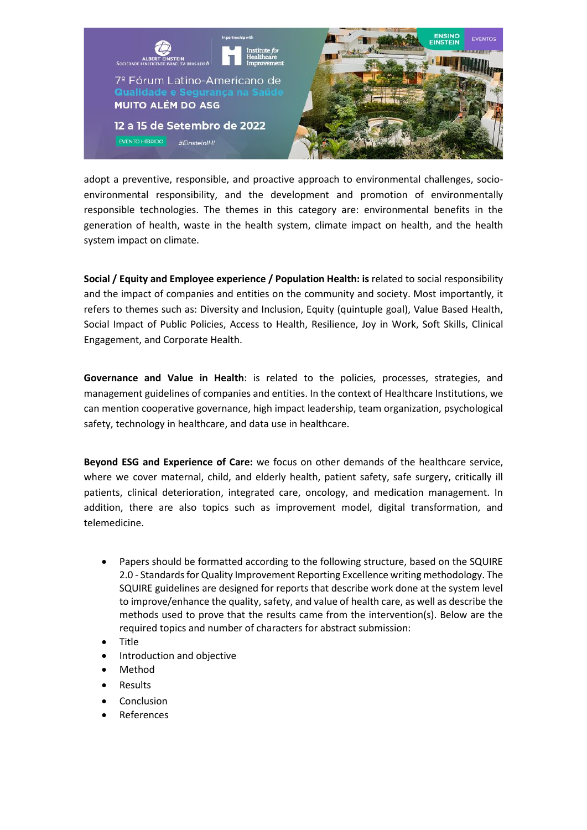

adopt a preventive, responsible, and proactive approach to environmental challenges, socioenvironmental responsibility, and the development and promotion of environmentally responsible technologies. The themes in this category are: environmental benefits in the generation of health, waste in the health system, climate impact on health, and the health system impact on climate.

**Social / Equity and Employee experience / Population Health: is** related to social responsibility and the impact of companies and entities on the community and society. Most importantly, it refers to themes such as: Diversity and Inclusion, Equity (quintuple goal), Value Based Health, Social Impact of Public Policies, Access to Health, Resilience, Joy in Work, Soft Skills, Clinical Engagement, and Corporate Health.

**Governance and Value in Health**: is related to the policies, processes, strategies, and management guidelines of companies and entities. In the context of Healthcare Institutions, we can mention cooperative governance, high impact leadership, team organization, psychological safety, technology in healthcare, and data use in healthcare.

**Beyond ESG and Experience of Care:** we focus on other demands of the healthcare service, where we cover maternal, child, and elderly health, patient safety, safe surgery, critically ill patients, clinical deterioration, integrated care, oncology, and medication management. In addition, there are also topics such as improvement model, digital transformation, and telemedicine.

- Papers should be formatted according to the following structure, based on the SQUIRE 2.0 - Standards for Quality Improvement Reporting Excellence writing methodology. The SQUIRE guidelines are designed for reports that describe work done at the system level to improve/enhance the quality, safety, and value of health care, as well as describe the methods used to prove that the results came from the intervention(s). Below are the required topics and number of characters for abstract submission:
- Title
- Introduction and objective
- Method
- **Results**
- Conclusion
- **References**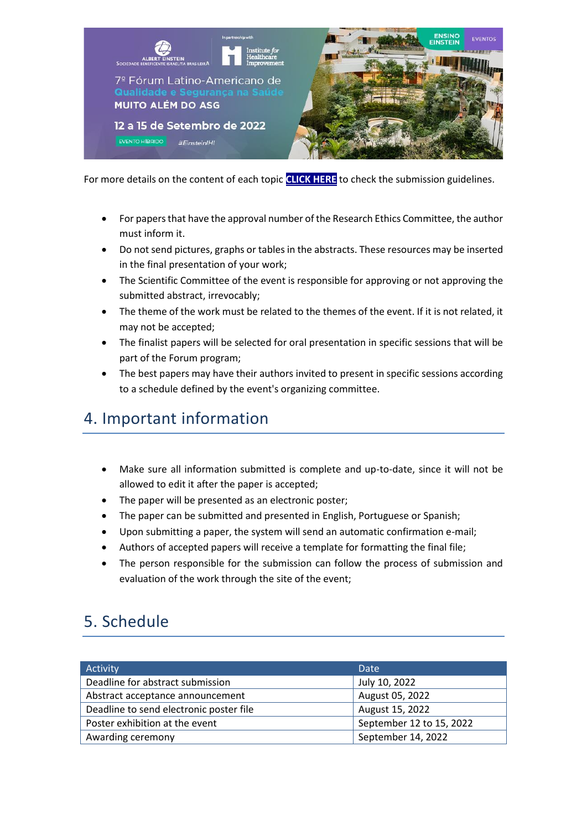

For more details on the content of each topic **[CLICK HERE](https://031632b3-833b-4431-8193-99c265a980dd.usrfiles.com/ugd/031632_02563c103a2a40fabde2d77c5517e37f.pdf)** to check the submission guidelines.

- For papers that have the approval number of the Research Ethics Committee, the author must inform it.
- Do not send pictures, graphs or tables in the abstracts. These resources may be inserted in the final presentation of your work;
- The Scientific Committee of the event is responsible for approving or not approving the submitted abstract, irrevocably;
- The theme of the work must be related to the themes of the event. If it is not related, it may not be accepted;
- The finalist papers will be selected for oral presentation in specific sessions that will be part of the Forum program;
- The best papers may have their authors invited to present in specific sessions according to a schedule defined by the event's organizing committee.

## 4. Important information

- Make sure all information submitted is complete and up-to-date, since it will not be allowed to edit it after the paper is accepted;
- The paper will be presented as an electronic poster;
- The paper can be submitted and presented in English, Portuguese or Spanish;
- Upon submitting a paper, the system will send an automatic confirmation e-mail;
- Authors of accepted papers will receive a template for formatting the final file;
- The person responsible for the submission can follow the process of submission and evaluation of the work through the site of the event;

# 5. Schedule

| Activity                                | Date                     |
|-----------------------------------------|--------------------------|
| Deadline for abstract submission        | July 10, 2022            |
| Abstract acceptance announcement        | August 05, 2022          |
| Deadline to send electronic poster file | August 15, 2022          |
| Poster exhibition at the event          | September 12 to 15, 2022 |
| Awarding ceremony                       | September 14, 2022       |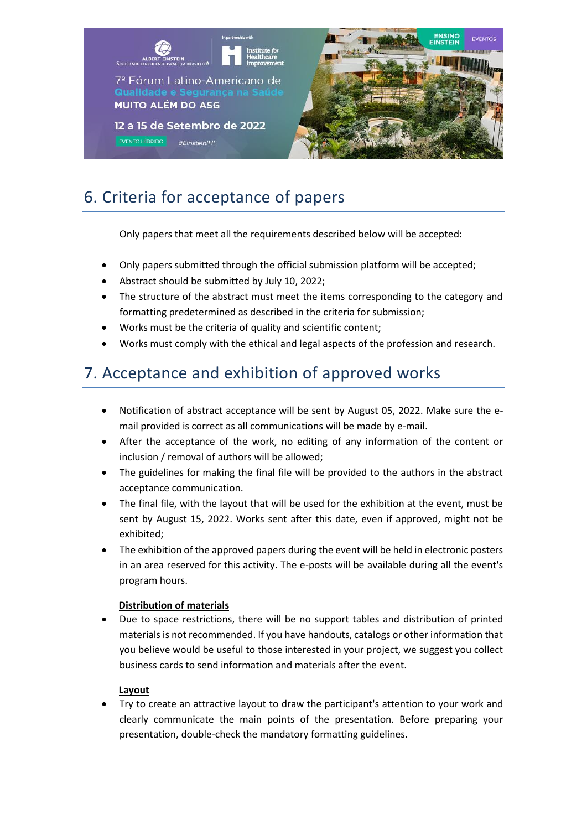

# 6. Criteria for acceptance of papers

Only papers that meet all the requirements described below will be accepted:

- Only papers submitted through the official submission platform will be accepted;
- Abstract should be submitted by July 10, 2022;
- The structure of the abstract must meet the items corresponding to the category and formatting predetermined as described in the criteria for submission;
- Works must be the criteria of quality and scientific content;
- Works must comply with the ethical and legal aspects of the profession and research.

### 7. Acceptance and exhibition of approved works

- Notification of abstract acceptance will be sent by August 05, 2022. Make sure the email provided is correct as all communications will be made by e-mail.
- After the acceptance of the work, no editing of any information of the content or inclusion / removal of authors will be allowed;
- The guidelines for making the final file will be provided to the authors in the abstract acceptance communication.
- The final file, with the layout that will be used for the exhibition at the event, must be sent by August 15, 2022. Works sent after this date, even if approved, might not be exhibited;
- The exhibition of the approved papers during the event will be held in electronic posters in an area reserved for this activity. The e-posts will be available during all the event's program hours.

#### **Distribution of materials**

• Due to space restrictions, there will be no support tables and distribution of printed materials is not recommended. If you have handouts, catalogs or other information that you believe would be useful to those interested in your project, we suggest you collect business cards to send information and materials after the event.

#### **Layout**

• Try to create an attractive layout to draw the participant's attention to your work and clearly communicate the main points of the presentation. Before preparing your presentation, double-check the mandatory formatting guidelines.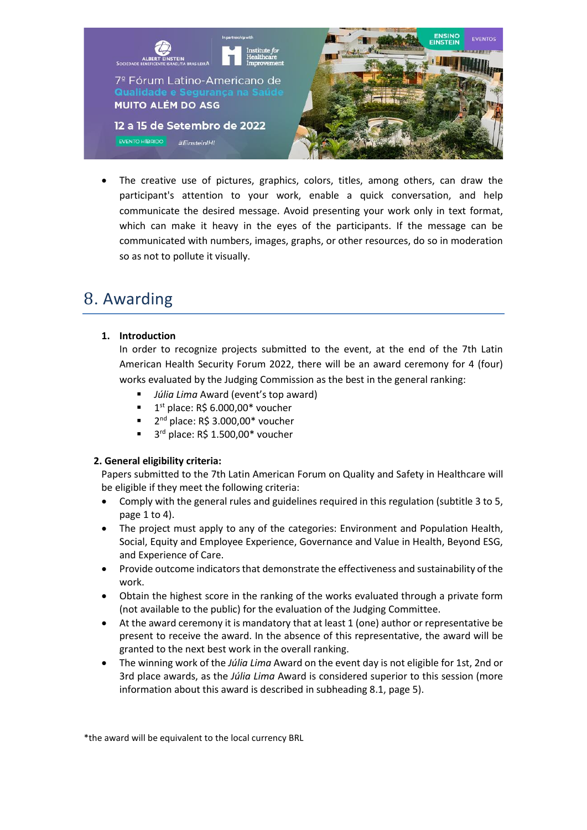

The creative use of pictures, graphics, colors, titles, among others, can draw the participant's attention to your work, enable a quick conversation, and help communicate the desired message. Avoid presenting your work only in text format, which can make it heavy in the eyes of the participants. If the message can be communicated with numbers, images, graphs, or other resources, do so in moderation so as not to pollute it visually.

## 8. Awarding

#### **1. Introduction**

In order to recognize projects submitted to the event, at the end of the 7th Latin American Health Security Forum 2022, there will be an award ceremony for 4 (four) works evaluated by the Judging Commission as the best in the general ranking:

- *Júlia Lima* Award (event's top award)
- $\blacksquare$  1<sup>st</sup> place: R\$ 6.000,00\* voucher
- 2<sup>nd</sup> place: R\$ 3.000,00\* voucher
- 3<sup>rd</sup> place: R\$ 1.500,00\* voucher

#### **2. General eligibility criteria:**

Papers submitted to the 7th Latin American Forum on Quality and Safety in Healthcare will be eligible if they meet the following criteria:

- Comply with the general rules and guidelines required in this regulation (subtitle 3 to 5, page 1 to 4).
- The project must apply to any of the categories: Environment and Population Health, Social, Equity and Employee Experience, Governance and Value in Health, Beyond ESG, and Experience of Care.
- Provide outcome indicators that demonstrate the effectiveness and sustainability of the work.
- Obtain the highest score in the ranking of the works evaluated through a private form (not available to the public) for the evaluation of the Judging Committee.
- At the award ceremony it is mandatory that at least 1 (one) author or representative be present to receive the award. In the absence of this representative, the award will be granted to the next best work in the overall ranking.
- The winning work of the *Júlia Lima* Award on the event day is not eligible for 1st, 2nd or 3rd place awards, as the *Júlia Lima* Award is considered superior to this session (more information about this award is described in subheading 8.1, page 5).

\*the award will be equivalent to the local currency BRL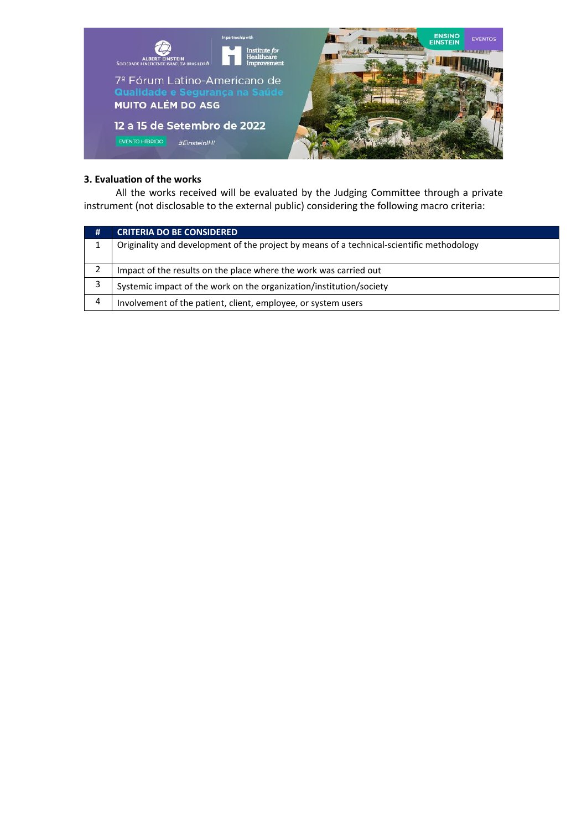

#### **3. Evaluation of the works**

 All the works received will be evaluated by the Judging Committee through a private instrument (not disclosable to the external public) considering the following macro criteria:

| # | <b>CRITERIA DO BE CONSIDERED</b>                                                          |
|---|-------------------------------------------------------------------------------------------|
|   | Originality and development of the project by means of a technical-scientific methodology |
|   | Impact of the results on the place where the work was carried out                         |
|   | Systemic impact of the work on the organization/institution/society                       |
| Δ | Involvement of the patient, client, employee, or system users                             |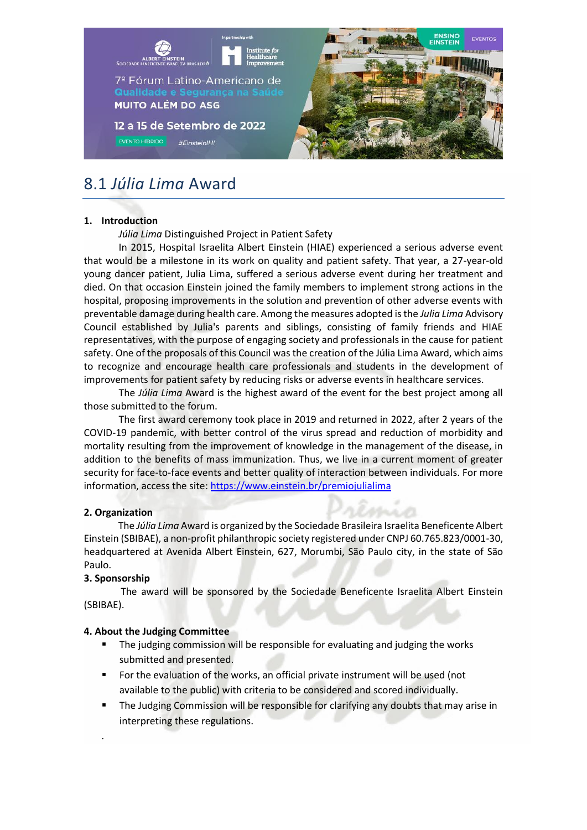

### 8.1 *Júlia Lima* Award

#### **1. Introduction**

*Júlia Lima* Distinguished Project in Patient Safety

In 2015, Hospital Israelita Albert Einstein (HIAE) experienced a serious adverse event that would be a milestone in its work on quality and patient safety. That year, a 27-year-old young dancer patient, Julia Lima, suffered a serious adverse event during her treatment and died. On that occasion Einstein joined the family members to implement strong actions in the hospital, proposing improvements in the solution and prevention of other adverse events with preventable damage during health care. Among the measures adopted is the *Julia Lima* Advisory Council established by Julia's parents and siblings, consisting of family friends and HIAE representatives, with the purpose of engaging society and professionals in the cause for patient safety. One of the proposals of this Council was the creation of the Júlia Lima Award, which aims to recognize and encourage health care professionals and students in the development of improvements for patient safety by reducing risks or adverse events in healthcare services.

The *Júlia Lima* Award is the highest award of the event for the best project among all those submitted to the forum.

The first award ceremony took place in 2019 and returned in 2022, after 2 years of the COVID-19 pandemic, with better control of the virus spread and reduction of morbidity and mortality resulting from the improvement of knowledge in the management of the disease, in addition to the benefits of mass immunization. Thus, we live in a current moment of greater security for face-to-face events and better quality of interaction between individuals. For more information, access the site[: https://www.einstein.br/premiojulialima](https://www.einstein.br/premiojulialima)

#### **2. Organization**

 The *Júlia Lima* Award is organized by the Sociedade Brasileira Israelita Beneficente Albert Einstein (SBIBAE), a non-profit philanthropic society registered under CNPJ 60.765.823/0001-30, headquartered at Avenida Albert Einstein, 627, Morumbi, São Paulo city, in the state of São Paulo.

#### **3. Sponsorship**

.

 The award will be sponsored by the Sociedade Beneficente Israelita Albert Einstein (SBIBAE).

#### **4. About the Judging Committee**

- The judging commission will be responsible for evaluating and judging the works submitted and presented.
- For the evaluation of the works, an official private instrument will be used (not available to the public) with criteria to be considered and scored individually.
- The Judging Commission will be responsible for clarifying any doubts that may arise in interpreting these regulations.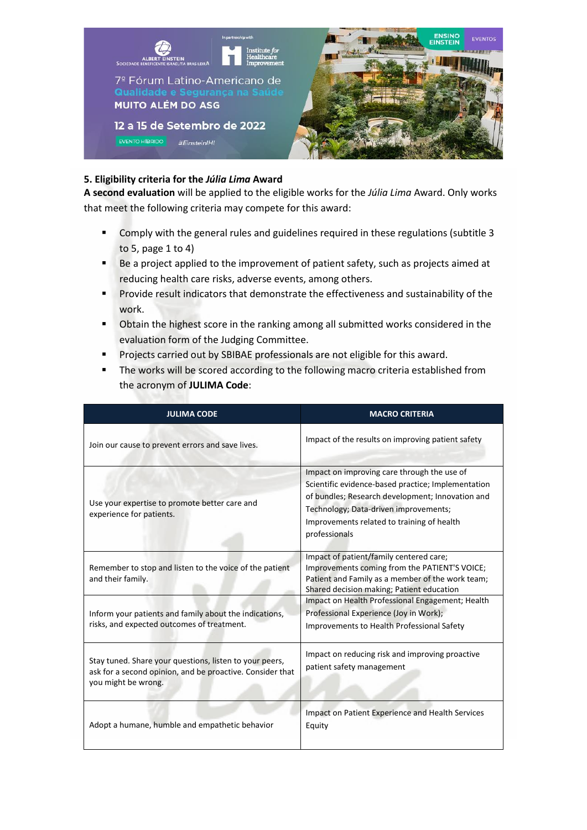

#### **5. Eligibility criteria for the** *Júlia Lima* **Award**

**A second evaluation** will be applied to the eligible works for the *Júlia Lima* Award. Only works that meet the following criteria may compete for this award:

- Comply with the general rules and guidelines required in these regulations (subtitle 3 to 5, page 1 to 4)
- Be a project applied to the improvement of patient safety, such as projects aimed at reducing health care risks, adverse events, among others.
- **•** Provide result indicators that demonstrate the effectiveness and sustainability of the work.
- Obtain the highest score in the ranking among all submitted works considered in the evaluation form of the Judging Committee.
- **•** Projects carried out by SBIBAE professionals are not eligible for this award.
- **The works will be scored according to the following macro criteria established from** the acronym of **JULIMA Code**:

| <b>JULIMA CODE</b>                                                                                                                          | <b>MACRO CRITERIA</b>                                                                                                                                                                                                                                         |
|---------------------------------------------------------------------------------------------------------------------------------------------|---------------------------------------------------------------------------------------------------------------------------------------------------------------------------------------------------------------------------------------------------------------|
| Join our cause to prevent errors and save lives.                                                                                            | Impact of the results on improving patient safety                                                                                                                                                                                                             |
| Use your expertise to promote better care and<br>experience for patients.                                                                   | Impact on improving care through the use of<br>Scientific evidence-based practice; Implementation<br>of bundles; Research development; Innovation and<br>Technology; Data-driven improvements;<br>Improvements related to training of health<br>professionals |
| Remember to stop and listen to the voice of the patient<br>and their family.                                                                | Impact of patient/family centered care;<br>Improvements coming from the PATIENT'S VOICE;<br>Patient and Family as a member of the work team;<br>Shared decision making; Patient education                                                                     |
| Inform your patients and family about the indications,<br>risks, and expected outcomes of treatment.                                        | Impact on Health Professional Engagement; Health<br>Professional Experience (Joy in Work);<br><b>Improvements to Health Professional Safety</b>                                                                                                               |
| Stay tuned. Share your questions, listen to your peers,<br>ask for a second opinion, and be proactive. Consider that<br>you might be wrong. | Impact on reducing risk and improving proactive<br>patient safety management                                                                                                                                                                                  |
| Adopt a humane, humble and empathetic behavior                                                                                              | Impact on Patient Experience and Health Services<br>Equity                                                                                                                                                                                                    |